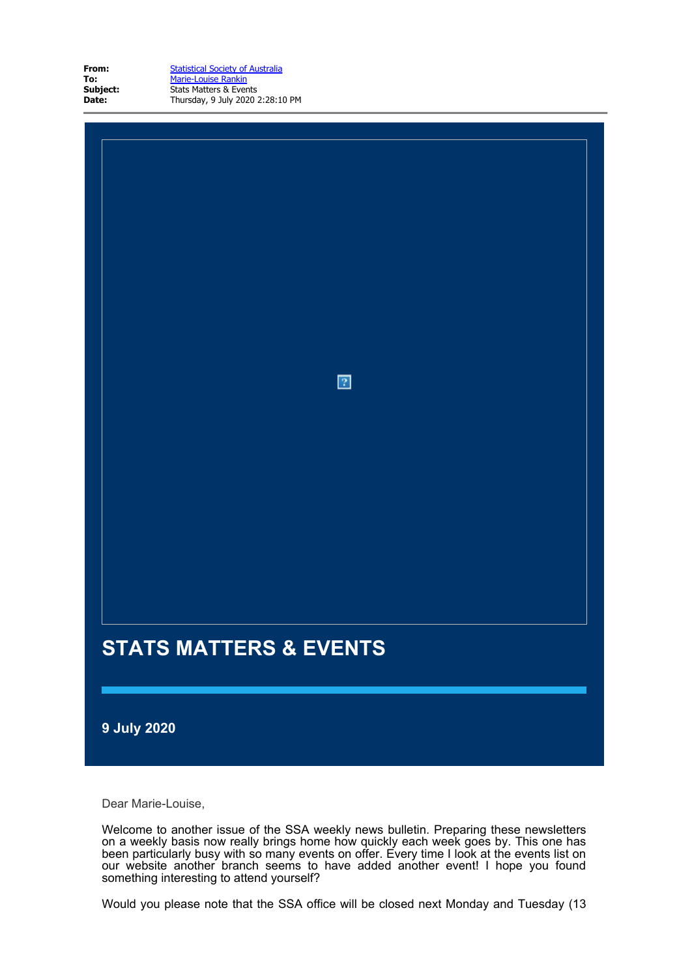| From:    |
|----------|
| To:      |
| Subject: |
| Date:    |

**From:** [Statistical Society of Australia](mailto:eo@statsoc.org.au) **To:** [Marie-Louise Rankin](mailto:eo@statsoc.org.au) **Stats Matters & Events Date:** Thursday, 9 July 2020 2:28:10 PM

# **STATS MATTERS & EVENTS**

**9 July 2020**

Dear Marie-Louise,

Welcome to another issue of the SSA weekly news bulletin. Preparing these newsletters on a weekly basis now really brings home how quickly each week goes by. This one has been particularly busy with so many events on offer. Every time I look at the events list on our website another branch seems to have added another event! I hope you found something interesting to attend yourself?

 $\overline{2}$ 

Would you please note that the SSA office will be closed next Monday and Tuesday (13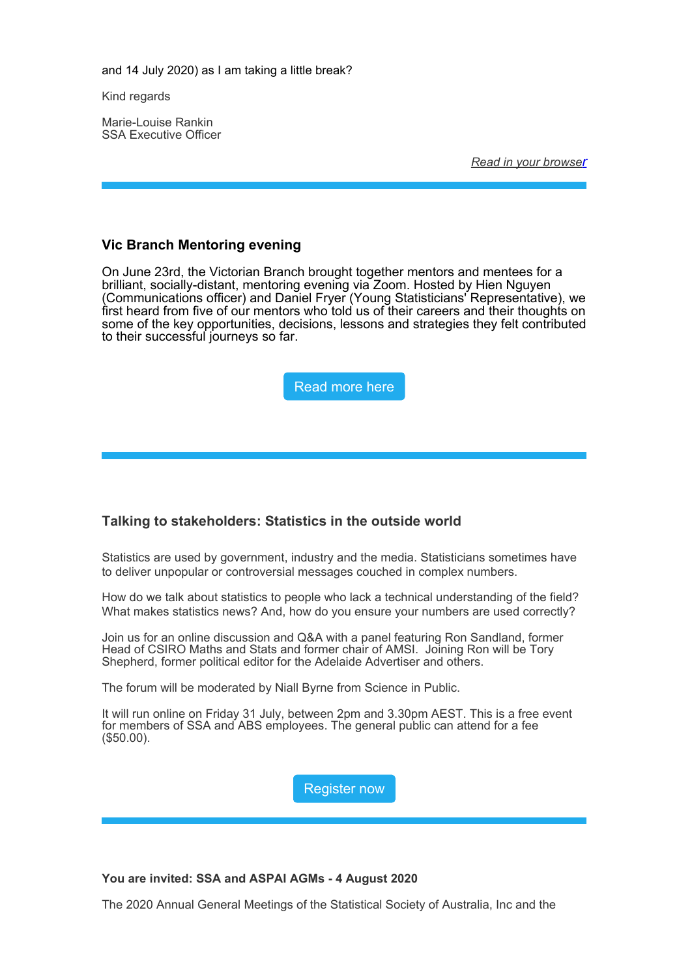and 14 July 2020) as I am taking a little break?

Kind regards

Marie-Louise Rankin SSA Executive Officer

*[Read in your browser](https://statsoc.org.au/EmailTracker/LinkTracker.ashx?linkAndRecipientCode=WD818z7Tnzz3KTEmGFNnQ1Oa6H50Hf3ZiLgtCMD6fMKWU8Ze9q%2bzQGWf1imRD1YYp0MsiJ2OFkXL2y7hMzA0voPU%2fKFuXLrPXe6o19wT6nk%3d)*

# **Vic Branch Mentoring evening**

On June 23rd, the Victorian Branch brought together mentors and mentees for a brilliant, socially-distant, mentoring evening via Zoom. Hosted by Hien Nguyen (Communications officer) and Daniel Fryer (Young Statisticians' Representative), we first heard from five of our mentors who told us of their careers and their thoughts on some of the key opportunities, decisions, lessons and strategies they felt contributed to their successful journeys so far.



# **Talking to stakeholders: Statistics in the outside world**

Statistics are used by government, industry and the media. Statisticians sometimes have to deliver unpopular or controversial messages couched in complex numbers.

How do we talk about statistics to people who lack a technical understanding of the field? What makes statistics news? And, how do you ensure your numbers are used correctly?

Join us for an online discussion and Q&A with a panel featuring Ron Sandland, former Head of CSIRO Maths and Stats and former chair of AMSI. Joining Ron will be Tory Shepherd, former political editor for the Adelaide Advertiser and others.

The forum will be moderated by Niall Byrne from Science in Public.

It will run online on Friday 31 July, between 2pm and 3.30pm AEST. This is a free event for members of SSA and ABS employees. The general public can attend for a fee (\$50.00).

[Register now](https://statsoc.org.au/EmailTracker/LinkTracker.ashx?linkAndRecipientCode=ALgV%2b1TFx76Vg8k%2btXVkCHycRgE%2fR7aqRT0qyQ%2fcs6cGIMrKV2e6fBINs2DzSzynGsrvcmHfxiKA3quEvaRqwAXPrdGGXnNWMpyGVVDM1fU%3d)

**You are invited: SSA and ASPAI AGMs - 4 August 2020**

The 2020 Annual General Meetings of the Statistical Society of Australia, Inc and the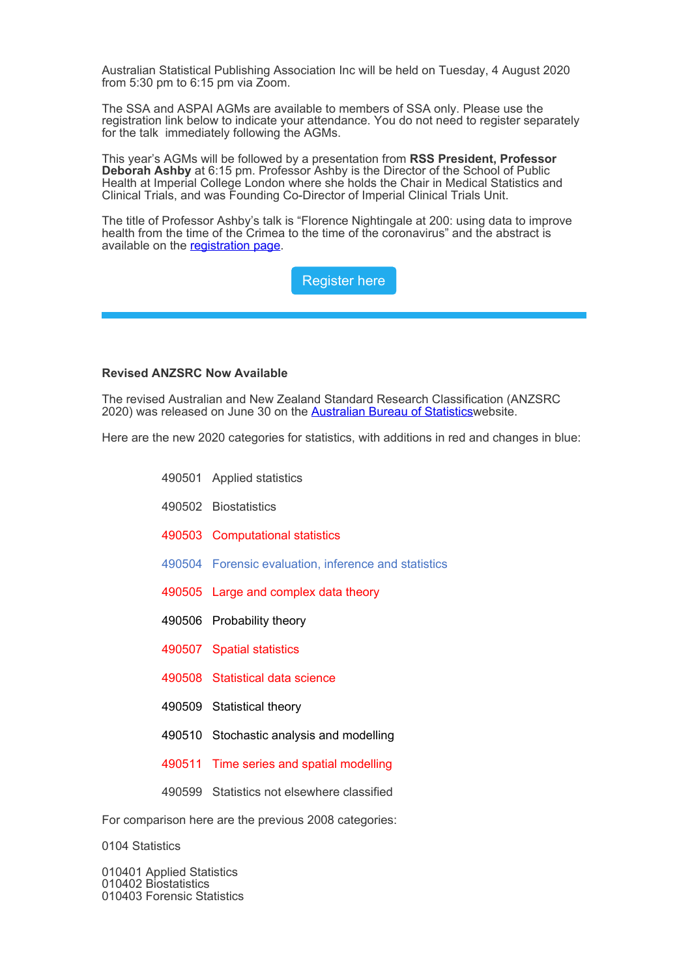Australian Statistical Publishing Association Inc will be held on Tuesday, 4 August 2020 from  $5:30$  pm to  $6:15$  pm via Zoom.

The SSA and ASPAI AGMs are available to members of SSA only. Please use the registration link below to indicate your attendance. You do not need to register separately for the talk immediately following the AGMs.

This year's AGMs will be followed by a presentation from **RSS President, Professor Deborah Ashby** at 6:15 pm. Professor Ashby is the Director of the School of Public Health at Imperial College London where she holds the Chair in Medical Statistics and Clinical Trials, and was Founding Co-Director of Imperial Clinical Trials Unit.

The title of Professor Ashby's talk is "Florence Nightingale at 200: using data to improve health from the time of the Crimea to the time of the coronavirus" and the abstract is available on the [registration page](https://statsoc.org.au/EmailTracker/LinkTracker.ashx?linkAndRecipientCode=pry1XA%2bw7rAin4VTdsMfKle9Frkfqb9ac2Gk4SuNlgeG1r4zofJfiMd56bQHfHpmQd4VRPEjB2eFBK4YmlNcioTAhICobIy1tZ%2bi6fFxP2I%3d).

[Register here](https://statsoc.org.au/EmailTracker/LinkTracker.ashx?linkAndRecipientCode=pry1XA%2bw7rAin4VTdsMfKle9Frkfqb9ac2Gk4SuNlgeG1r4zofJfiMd56bQHfHpmQd4VRPEjB2eFBK4YmlNcioTAhICobIy1tZ%2bi6fFxP2I%3d)

### **Revised ANZSRC Now Available**

The revised Australian and New Zealand Standard Research Classification (ANZSRC 2020) was released on June 30 on the **[Australian Bureau of Statistics](https://statsoc.org.au/EmailTracker/LinkTracker.ashx?linkAndRecipientCode=5%2b1p7ECsnBL84T2qm0YfVSZhiprmE8n9Ytvx6Got%2fUGZXIRhqgQVAChhYp8G3iwaPD84Lgu9ETQchOoFK%2fK6GEKeKFQlNLvfMbc%2b%2btSxPCU%3d)website.** 

Here are the new 2020 categories for statistics, with additions in red and changes in blue:

- 490501 Applied statistics
- 490502 Biostatistics
- 490503 Computational statistics
- 490504 Forensic evaluation, inference and statistics
- 490505 Large and complex data theory
- 490506 Probability theory
- 490507 Spatial statistics
- 490508 Statistical data science
- 490509 Statistical theory
- 490510 Stochastic analysis and modelling
- 490511 Time series and spatial modelling
- 490599 Statistics not elsewhere classified

For comparison here are the previous 2008 categories:

0104 Statistics

010401 Applied Statistics 010402 Biostatistics 010403 Forensic Statistics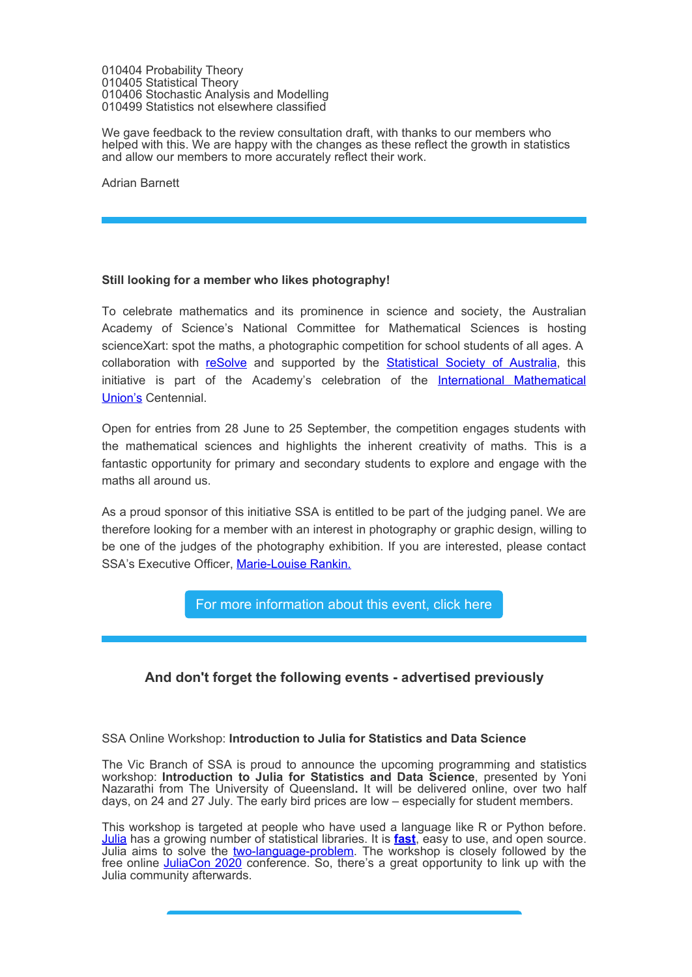010404 Probability Theory 010405 Statistical Theory 010406 Stochastic Analysis and Modelling 010499 Statistics not elsewhere classified

We gave feedback to the review consultation draft, with thanks to our members who helped with this. We are happy with the changes as these reflect the growth in statistics and allow our members to more accurately reflect their work.

Adrian Barnett

## **Still looking for a member who likes photography!**

To celebrate mathematics and its prominence in science and society, the Australian Academy of Science's National Committee for Mathematical Sciences is hosting scienceXart: spot the maths, a photographic competition for school students of all ages. A collaboration with [reSolve](https://statsoc.org.au/EmailTracker/LinkTracker.ashx?linkAndRecipientCode=Cb1o0fXb4uDAsOhFhBXiDEYK1E8vTiGCz4aHb22ROXlyV9juPKzVELqqFrbeqFHLwPemQg5NWtBkVoqvERs8mwmHdw1YZeLIsj8Dq%2fP9GUc%3d) and supported by the [Statistical Society of Australia](https://statsoc.org.au/EmailTracker/LinkTracker.ashx?linkAndRecipientCode=VZui1szNhqUEuJLRZZ%2bWGkbOUTCiPb17KBrdJgM1Kih%2b63F7aEeEYFr%2f7aa4GyKEiNkMY6w3ATVoa5raYxRshQmR2v6BSns9%2f0GI2u5ermA%3d), this initiative is part of the Academy's celebration of the [International Mathematical](https://statsoc.org.au/EmailTracker/LinkTracker.ashx?linkAndRecipientCode=dxMq7aiL35jiJ%2bAQTRxFac%2fB6bZMI6PMMV5onuR%2fly3e1IbTX6jlZodSAy4gQ7gDQ2L2HmXTmmnpgzaVlGnWLQ9USh01ctnn7G1rXPUJvpY%3d) [Union's](https://statsoc.org.au/EmailTracker/LinkTracker.ashx?linkAndRecipientCode=dxMq7aiL35jiJ%2bAQTRxFac%2fB6bZMI6PMMV5onuR%2fly3e1IbTX6jlZodSAy4gQ7gDQ2L2HmXTmmnpgzaVlGnWLQ9USh01ctnn7G1rXPUJvpY%3d) Centennial.

Open for entries from 28 June to 25 September, the competition engages students with the mathematical sciences and highlights the inherent creativity of maths. This is a fantastic opportunity for primary and secondary students to explore and engage with the maths all around us.

As a proud sponsor of this initiative SSA is entitled to be part of the judging panel. We are therefore looking for a member with an interest in photography or graphic design, willing to be one of the judges of the photography exhibition. If you are interested, please contact SSA's Executive Officer, [Marie-Louise Rankin.](mailto:eo@statsoc.org.au)

[For more information about this event, click here](https://statsoc.org.au/EmailTracker/LinkTracker.ashx?linkAndRecipientCode=7xD9zG4fzyuHLEQqtcS4i2HjjNq2w2zoNvfsCc6yhO8Nm8W%2fjBC4oTxODM%2bwbBD2%2bVeH1zF3XQE4Hiu6lIr0Wic1XpTH4dajmBjvm7hy6oA%3d)

# **And don't forget the following events - advertised previously**

### SSA Online Workshop: **Introduction to Julia for Statistics and Data Science**

The Vic Branch of SSA is proud to announce the upcoming programming and statistics workshop: **Introduction to Julia for Statistics and Data Science**, presented by Yoni Nazarathi from The University of Queensland**.** It will be delivered online, over two half days, on 24 and 27 July. The early bird prices are low – especially for student members.

This workshop is targeted at people who have used a language like R or Python before. [Julia](https://statsoc.org.au/EmailTracker/LinkTracker.ashx?linkAndRecipientCode=K3lWhXfEskS6fturTDoNd7yd2CVgetbuKSMgYLcwNnMlHLKaEhk3kG%2fvaGx2IwqLV2Sm73hjcJdfNv0E09WkTgGxt2AqfvPSowR0gltTpO8%3d) has a growing number of statistical libraries. It is **[fast](https://statsoc.org.au/EmailTracker/LinkTracker.ashx?linkAndRecipientCode=Ou8Y1NiCX6GiiW7zR3raFdu1iJljUXjF2P7PaWt3Ul3jhIXQ%2bNH8n4qmiapkyrzwhNofgyh%2fe8K0vOmlHiZa3R8JUl78OnwNH%2bX4BPGoHZQ%3d)**, easy to use, and open source. Julia aims to solve the [two-language-problem](https://statsoc.org.au/EmailTracker/LinkTracker.ashx?linkAndRecipientCode=sHNqD8LBdIoGpQNbJFBvyMfFew3UCEu3fsZiUIoZ1hH6mZ7mdrQJrKpNo91U3g4vzcM20G7PEDeivSZR9eZoblI1AzI08AkkRo2YRnbmrHE%3d). The workshop is closely followed by the free online [JuliaCon 2020](https://statsoc.org.au/EmailTracker/LinkTracker.ashx?linkAndRecipientCode=WS98TAikerYL0jNcAO9X83aktpVmdcbZMVONUBODI235JwGSdnLQ0pqmwz8ian18Fnw6t57EDphp27d4tVu5%2bUb2LLg10HGJoUxd%2bU%2fcvSo%3d) conference. So, there's a great opportunity to link up with the Julia community afterwards.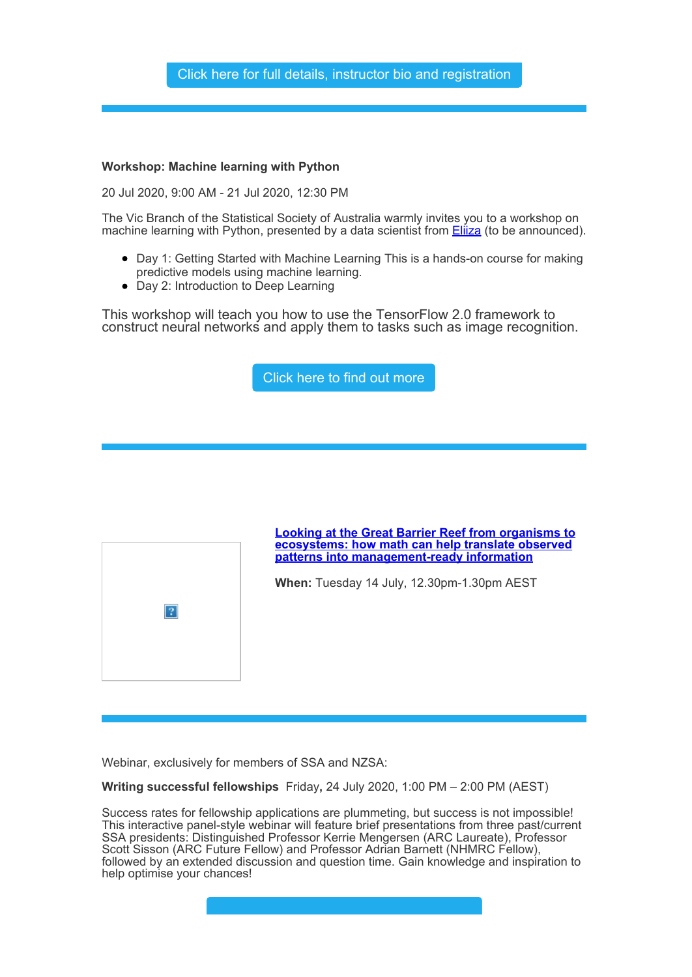

## **Workshop: Machine learning with Python**

20 Jul 2020, 9:00 AM - 21 Jul 2020, 12:30 PM

The Vic Branch of the Statistical Society of Australia warmly invites you to a workshop on machine learning with Python, presented by a data scientist from **Eliza** (to be announced).

- Day 1: Getting Started with Machine Learning This is a hands-on course for making predictive models using machine learning.
- Day 2: Introduction to Deep Learning

This workshop will teach you how to use the TensorFlow 2.0 framework to construct neural networks and apply them to tasks such as image recognition.





Webinar, exclusively for members of SSA and NZSA:

**Writing successful fellowships** Friday**,** 24 July 2020, 1:00 PM – 2:00 PM (AEST)

Success rates for fellowship applications are plummeting, but success is not impossible! This interactive panel-style webinar will feature brief presentations from three past/current SSA presidents: Distinguished Professor Kerrie Mengersen (ARC Laureate), Professor Scott Sisson (ARC Future Fellow) and Professor Adrian Barnett (NHMRC Fellow), followed by an extended discussion and question time. Gain knowledge and inspiration to help optimise your chances!